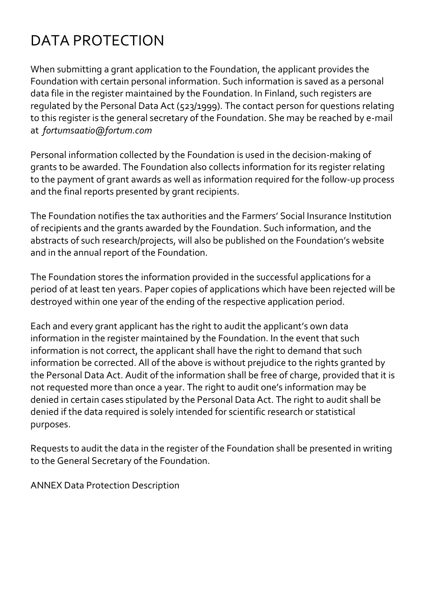## DATA PROTECTION

When submitting a grant application to the Foundation, the applicant provides the Foundation with certain personal information. Such information is saved as a personal data file in the register maintained by the Foundation. In Finland, such registers are regulated by the Personal Data Act (523/1999). The contact person for questions relating to this register is the general secretary of the Foundation. She may be reached by e-mail at *fortumsaatio@fortum.com*

Personal information collected by the Foundation is used in the decision-making of grants to be awarded. The Foundation also collects information for its register relating to the payment of grant awards as well as information required for the follow-up process and the final reports presented by grant recipients.

The Foundation notifies the tax authorities and the Farmers' Social Insurance Institution of recipients and the grants awarded by the Foundation. Such information, and the abstracts of such research/projects, will also be published on the Foundation's website and in the annual report of the Foundation.

The Foundation stores the information provided in the successful applications for a period of at least ten years. Paper copies of applications which have been rejected will be destroyed within one year of the ending of the respective application period.

Each and every grant applicant has the right to audit the applicant's own data information in the register maintained by the Foundation. In the event that such information is not correct, the applicant shall have the right to demand that such information be corrected. All of the above is without prejudice to the rights granted by the Personal Data Act. Audit of the information shall be free of charge, provided that it is not requested more than once a year. The right to audit one's information may be denied in certain cases stipulated by the Personal Data Act. The right to audit shall be denied if the data required is solely intended for scientific research or statistical purposes.

Requests to audit the data in the register of the Foundation shall be presented in writing to the General Secretary of the Foundation.

ANNEX Data Protection Description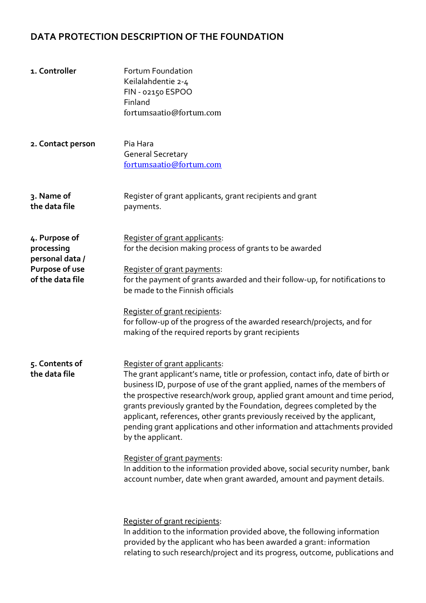## **DATA PROTECTION DESCRIPTION OF THE FOUNDATION**

| 1. Controller                                                                        | Fortum Foundation<br>Keilalahdentie 2-4<br>FIN - 02150 ESPOO<br>Finland<br>fortumsaatio@fortum.com                                                                                                                                                                                                                                                                                                                                                                                                                                                                                                                                                                                                                        |
|--------------------------------------------------------------------------------------|---------------------------------------------------------------------------------------------------------------------------------------------------------------------------------------------------------------------------------------------------------------------------------------------------------------------------------------------------------------------------------------------------------------------------------------------------------------------------------------------------------------------------------------------------------------------------------------------------------------------------------------------------------------------------------------------------------------------------|
| 2. Contact person                                                                    | Pia Hara<br><b>General Secretary</b><br>fortumsaatio@fortum.com                                                                                                                                                                                                                                                                                                                                                                                                                                                                                                                                                                                                                                                           |
| 3. Name of<br>the data file                                                          | Register of grant applicants, grant recipients and grant<br>payments.                                                                                                                                                                                                                                                                                                                                                                                                                                                                                                                                                                                                                                                     |
| 4. Purpose of<br>processing<br>personal data /<br>Purpose of use<br>of the data file | Register of grant applicants:<br>for the decision making process of grants to be awarded<br>Register of grant payments:<br>for the payment of grants awarded and their follow-up, for notifications to<br>be made to the Finnish officials<br>Register of grant recipients:<br>for follow-up of the progress of the awarded research/projects, and for<br>making of the required reports by grant recipients                                                                                                                                                                                                                                                                                                              |
| 5. Contents of<br>the data file                                                      | Register of grant applicants:<br>The grant applicant's name, title or profession, contact info, date of birth or<br>business ID, purpose of use of the grant applied, names of the members of<br>the prospective research/work group, applied grant amount and time period,<br>grants previously granted by the Foundation, degrees completed by the<br>applicant, references, other grants previously received by the applicant,<br>pending grant applications and other information and attachments provided<br>by the applicant.<br>Register of grant payments:<br>In addition to the information provided above, social security number, bank<br>account number, date when grant awarded, amount and payment details. |
|                                                                                      | Register of grant recipients:<br>In addition to the information provided above, the following information<br>provided by the applicant who has been awarded a grant: information<br>relating to such research/project and its progress, outcome, publications and                                                                                                                                                                                                                                                                                                                                                                                                                                                         |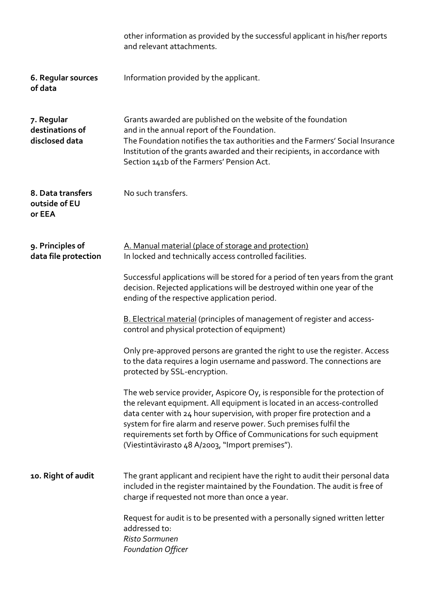|                                                 | other information as provided by the successful applicant in his/her reports<br>and relevant attachments.                                                                                                                                                                                                                                                                                                                            |
|-------------------------------------------------|--------------------------------------------------------------------------------------------------------------------------------------------------------------------------------------------------------------------------------------------------------------------------------------------------------------------------------------------------------------------------------------------------------------------------------------|
| 6. Regular sources<br>of data                   | Information provided by the applicant.                                                                                                                                                                                                                                                                                                                                                                                               |
| 7. Regular<br>destinations of<br>disclosed data | Grants awarded are published on the website of the foundation<br>and in the annual report of the Foundation.<br>The Foundation notifies the tax authorities and the Farmers' Social Insurance<br>Institution of the grants awarded and their recipients, in accordance with<br>Section 141b of the Farmers' Pension Act.                                                                                                             |
| 8. Data transfers<br>outside of EU<br>or EEA    | No such transfers.                                                                                                                                                                                                                                                                                                                                                                                                                   |
| 9. Principles of<br>data file protection        | A. Manual material (place of storage and protection)<br>In locked and technically access controlled facilities.                                                                                                                                                                                                                                                                                                                      |
|                                                 | Successful applications will be stored for a period of ten years from the grant<br>decision. Rejected applications will be destroyed within one year of the<br>ending of the respective application period.                                                                                                                                                                                                                          |
|                                                 | B. Electrical material (principles of management of register and access-<br>control and physical protection of equipment)                                                                                                                                                                                                                                                                                                            |
|                                                 | Only pre-approved persons are granted the right to use the register. Access<br>to the data requires a login username and password. The connections are<br>protected by SSL-encryption.                                                                                                                                                                                                                                               |
|                                                 | The web service provider, Aspicore Oy, is responsible for the protection of<br>the relevant equipment. All equipment is located in an access-controlled<br>data center with 24 hour supervision, with proper fire protection and a<br>system for fire alarm and reserve power. Such premises fulfil the<br>requirements set forth by Office of Communications for such equipment<br>(Viestintävirasto 48 A/2003, "Import premises"). |
| 10. Right of audit                              | The grant applicant and recipient have the right to audit their personal data<br>included in the register maintained by the Foundation. The audit is free of<br>charge if requested not more than once a year.                                                                                                                                                                                                                       |
|                                                 | Request for audit is to be presented with a personally signed written letter<br>addressed to:<br>Risto Sormunen<br><b>Foundation Officer</b>                                                                                                                                                                                                                                                                                         |